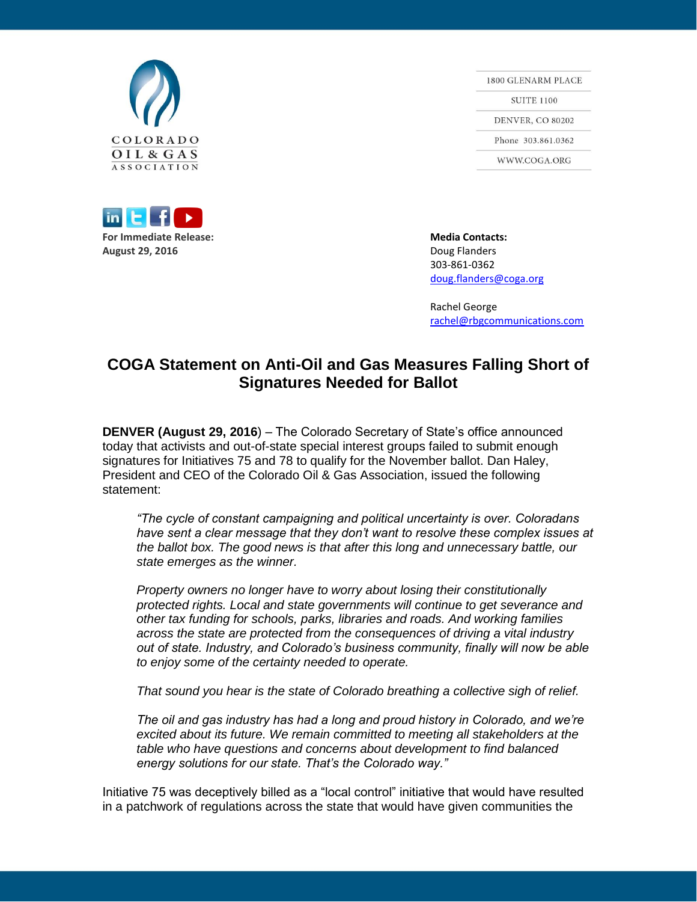



1800 GLENARM PLACE **SUITE 1100 DENVER, CO 80202** Phone 303.861.0362 WWW.COGA.ORG

303-861-0362 [doug.flanders@coga.org](mailto:doug.flanders@coga.org)

Rachel George [rachel@rbgcommunications.com](mailto:rachel@rbgcommunications.com)

## **COGA Statement on Anti-Oil and Gas Measures Falling Short of Signatures Needed for Ballot**

**DENVER (August 29, 2016**) – The Colorado Secretary of State's office announced today that activists and out-of-state special interest groups failed to submit enough signatures for Initiatives 75 and 78 to qualify for the November ballot. Dan Haley, President and CEO of the Colorado Oil & Gas Association, issued the following statement:

*"The cycle of constant campaigning and political uncertainty is over. Coloradans have sent a clear message that they don't want to resolve these complex issues at the ballot box. The good news is that after this long and unnecessary battle, our state emerges as the winner.*

*Property owners no longer have to worry about losing their constitutionally protected rights. Local and state governments will continue to get severance and other tax funding for schools, parks, libraries and roads. And working families across the state are protected from the consequences of driving a vital industry out of state. Industry, and Colorado's business community, finally will now be able to enjoy some of the certainty needed to operate.*

*That sound you hear is the state of Colorado breathing a collective sigh of relief.*

*The oil and gas industry has had a long and proud history in Colorado, and we're excited about its future. We remain committed to meeting all stakeholders at the table who have questions and concerns about development to find balanced energy solutions for our state. That's the Colorado way."*

Initiative 75 was deceptively billed as a "local control" initiative that would have resulted in a patchwork of regulations across the state that would have given communities the